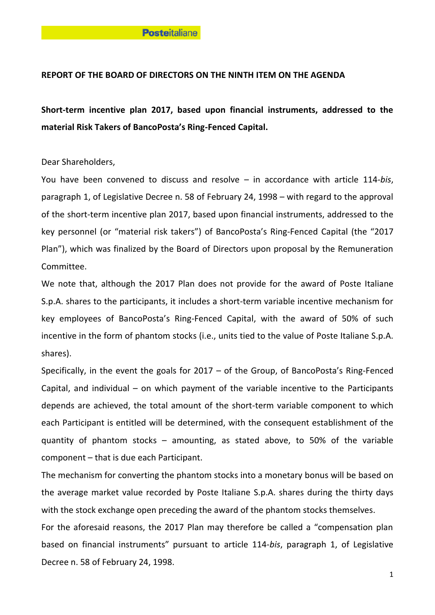## **REPORT OF THE BOARD OF DIRECTORS ON THE NINTH ITEM ON THE AGENDA**

**Short-term incentive plan 2017, based upon financial instruments, addressed to the material Risk Takers of BancoPosta's Ring-Fenced Capital.**

Dear Shareholders,

You have been convened to discuss and resolve – in accordance with article 114-*bis*, paragraph 1, of Legislative Decree n. 58 of February 24, 1998 – with regard to the approval of the short-term incentive plan 2017, based upon financial instruments, addressed to the key personnel (or "material risk takers") of BancoPosta's Ring-Fenced Capital (the "2017 Plan"), which was finalized by the Board of Directors upon proposal by the Remuneration Committee.

We note that, although the 2017 Plan does not provide for the award of Poste Italiane S.p.A. shares to the participants, it includes a short-term variable incentive mechanism for key employees of BancoPosta's Ring-Fenced Capital, with the award of 50% of such incentive in the form of phantom stocks (i.e., units tied to the value of Poste Italiane S.p.A. shares).

Specifically, in the event the goals for 2017 – of the Group, of BancoPosta's Ring-Fenced Capital, and individual – on which payment of the variable incentive to the Participants depends are achieved, the total amount of the short-term variable component to which each Participant is entitled will be determined, with the consequent establishment of the quantity of phantom stocks – amounting, as stated above, to 50% of the variable component – that is due each Participant.

The mechanism for converting the phantom stocks into a monetary bonus will be based on the average market value recorded by Poste Italiane S.p.A. shares during the thirty days with the stock exchange open preceding the award of the phantom stocks themselves.

For the aforesaid reasons, the 2017 Plan may therefore be called a "compensation plan based on financial instruments" pursuant to article 114-*bis*, paragraph 1, of Legislative Decree n. 58 of February 24, 1998.